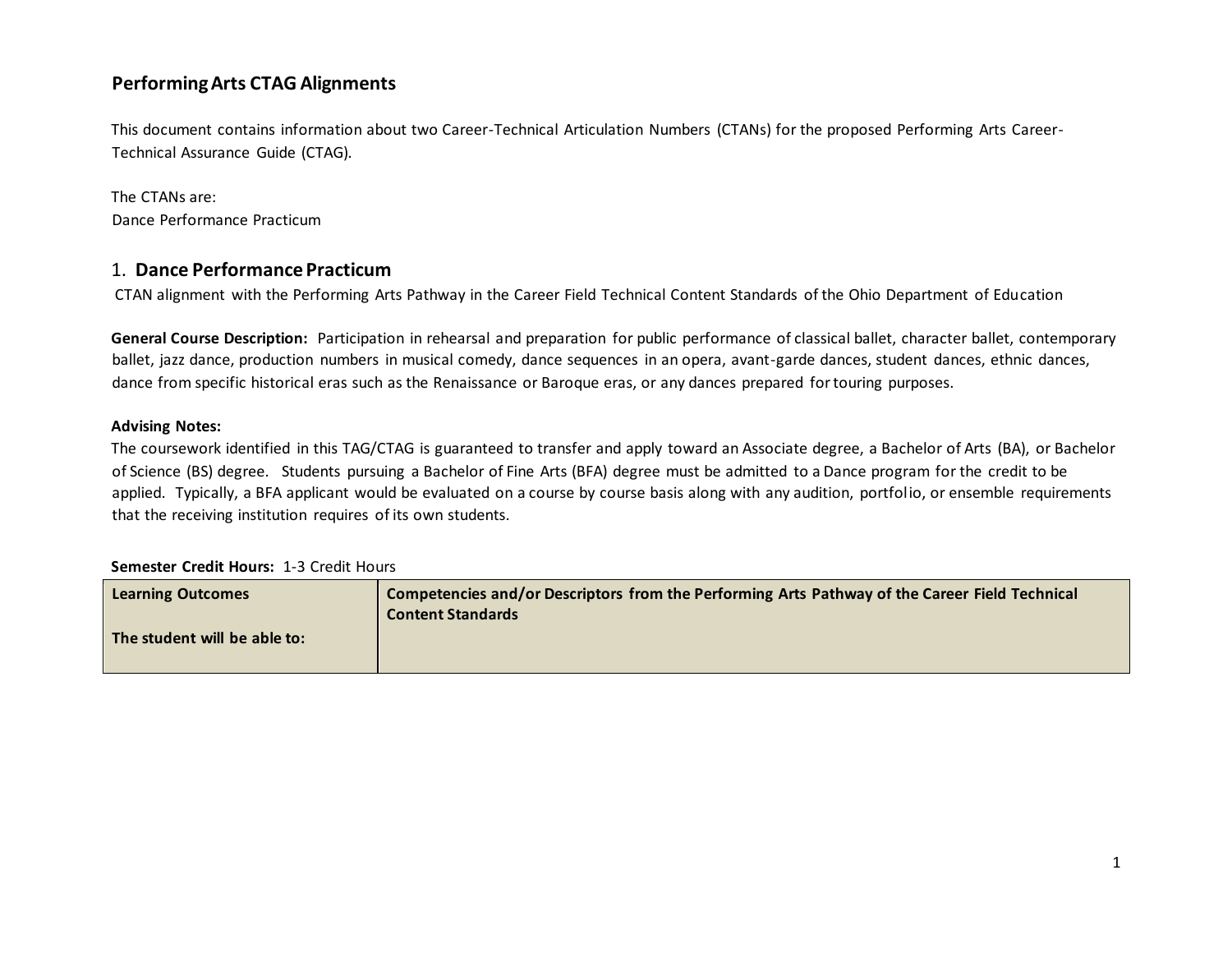## **Performing Arts CTAG Alignments**

This document contains information about two Career-Technical Articulation Numbers (CTANs) for the proposed Performing Arts Career-Technical Assurance Guide (CTAG).

The CTANs are: Dance Performance Practicum

## 1. **Dance Performance Practicum**

CTAN alignment with the Performing Arts Pathway in the Career Field Technical Content Standards of the Ohio Department of Education

**General Course Description:**Participation in rehearsal and preparation for public performance of classical ballet, character ballet, contemporary ballet, jazz dance, production numbers in musical comedy, dance sequences in an opera, avant-garde dances, student dances, ethnic dances, dance from specific historical eras such as the Renaissance or Baroque eras, or any dances prepared for touring purposes.

## **Advising Notes:**

The coursework identified in this TAG/CTAG is guaranteed to transfer and apply toward an Associate degree, a Bachelor of Arts (BA), or Bachelor of Science (BS) degree. Students pursuing a Bachelor of Fine Arts (BFA) degree must be admitted to a Dance program for the credit to be applied. Typically, a BFA applicant would be evaluated on a course by course basis along with any audition, portfolio, or ensemble requirements that the receiving institution requires of its own students.

## **Semester Credit Hours:** 1-3 Credit Hours

| <b>Learning Outcomes</b>     | Competencies and/or Descriptors from the Performing Arts Pathway of the Career Field Technical<br><b>Content Standards</b> |
|------------------------------|----------------------------------------------------------------------------------------------------------------------------|
| The student will be able to: |                                                                                                                            |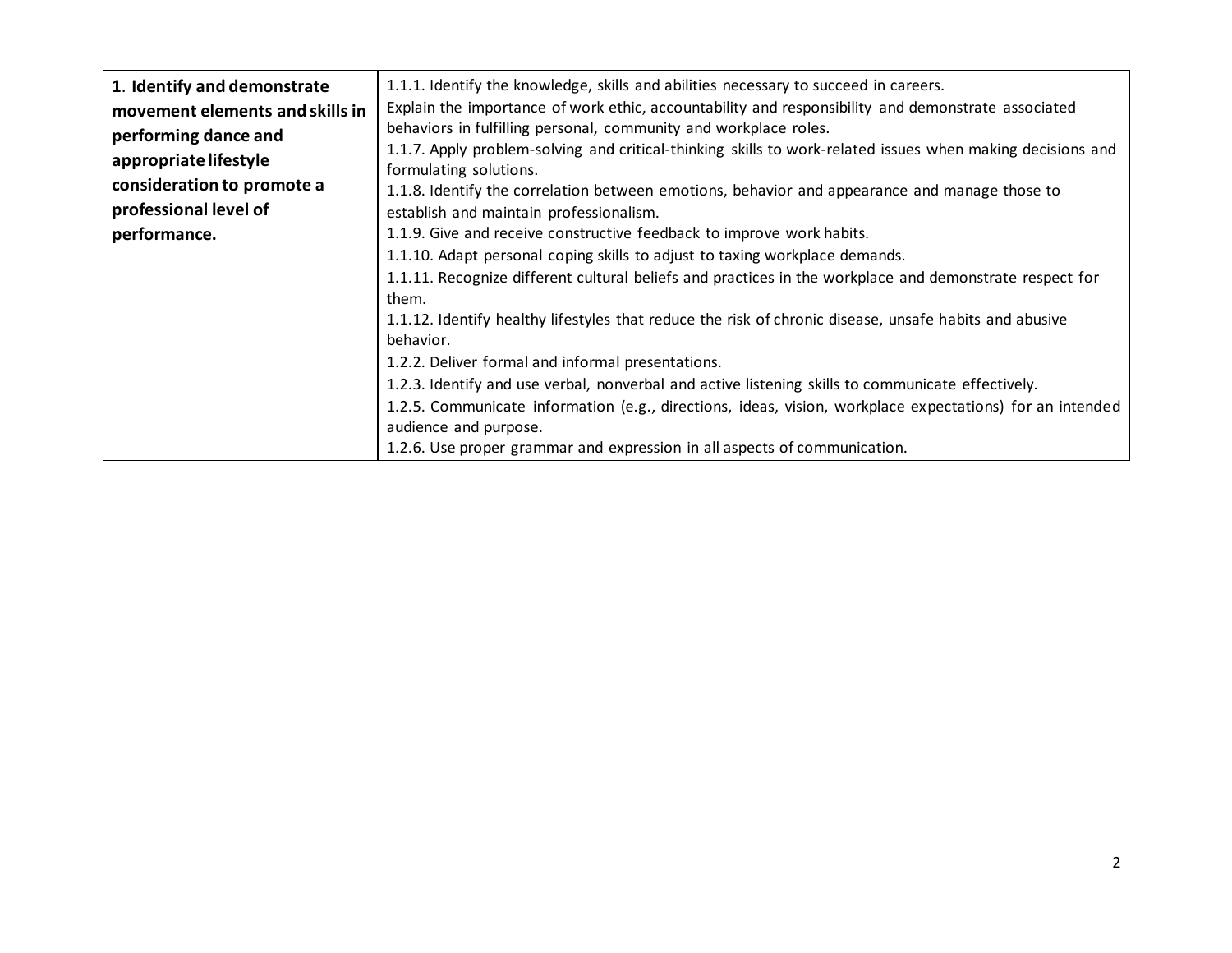| 1. Identify and demonstrate     | 1.1.1. Identify the knowledge, skills and abilities necessary to succeed in careers.                       |
|---------------------------------|------------------------------------------------------------------------------------------------------------|
| movement elements and skills in | Explain the importance of work ethic, accountability and responsibility and demonstrate associated         |
| performing dance and            | behaviors in fulfilling personal, community and workplace roles.                                           |
| appropriate lifestyle           | 1.1.7. Apply problem-solving and critical-thinking skills to work-related issues when making decisions and |
|                                 | formulating solutions.                                                                                     |
| consideration to promote a      | 1.1.8. Identify the correlation between emotions, behavior and appearance and manage those to              |
| professional level of           | establish and maintain professionalism.                                                                    |
| performance.                    | 1.1.9. Give and receive constructive feedback to improve work habits.                                      |
|                                 | 1.1.10. Adapt personal coping skills to adjust to taxing workplace demands.                                |
|                                 | 1.1.11. Recognize different cultural beliefs and practices in the workplace and demonstrate respect for    |
|                                 | them.                                                                                                      |
|                                 | 1.1.12. Identify healthy lifestyles that reduce the risk of chronic disease, unsafe habits and abusive     |
|                                 | behavior.                                                                                                  |
|                                 | 1.2.2. Deliver formal and informal presentations.                                                          |
|                                 | 1.2.3. Identify and use verbal, nonverbal and active listening skills to communicate effectively.          |
|                                 | 1.2.5. Communicate information (e.g., directions, ideas, vision, workplace expectations) for an intended   |
|                                 | audience and purpose.                                                                                      |
|                                 | 1.2.6. Use proper grammar and expression in all aspects of communication.                                  |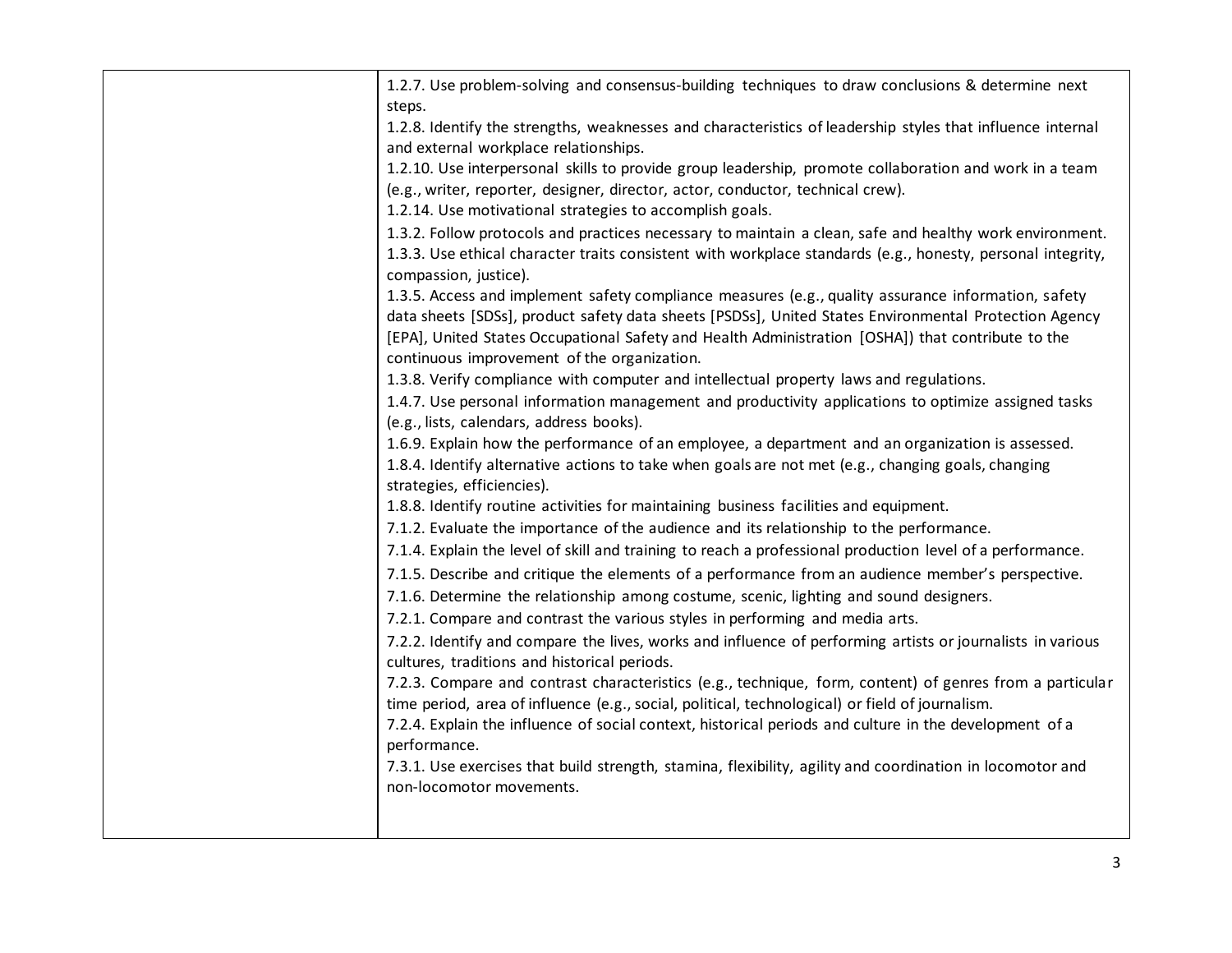| 1.2.7. Use problem-solving and consensus-building techniques to draw conclusions & determine next<br>steps. |
|-------------------------------------------------------------------------------------------------------------|
| 1.2.8. Identify the strengths, weaknesses and characteristics of leadership styles that influence internal  |
| and external workplace relationships.                                                                       |
| 1.2.10. Use interpersonal skills to provide group leadership, promote collaboration and work in a team      |
| (e.g., writer, reporter, designer, director, actor, conductor, technical crew).                             |
| 1.2.14. Use motivational strategies to accomplish goals.                                                    |
| 1.3.2. Follow protocols and practices necessary to maintain a clean, safe and healthy work environment.     |
| 1.3.3. Use ethical character traits consistent with workplace standards (e.g., honesty, personal integrity, |
| compassion, justice).                                                                                       |
| 1.3.5. Access and implement safety compliance measures (e.g., quality assurance information, safety         |
| data sheets [SDSs], product safety data sheets [PSDSs], United States Environmental Protection Agency       |
| [EPA], United States Occupational Safety and Health Administration [OSHA]) that contribute to the           |
| continuous improvement of the organization.                                                                 |
| 1.3.8. Verify compliance with computer and intellectual property laws and regulations.                      |
| 1.4.7. Use personal information management and productivity applications to optimize assigned tasks         |
| (e.g., lists, calendars, address books).                                                                    |
| 1.6.9. Explain how the performance of an employee, a department and an organization is assessed.            |
| 1.8.4. Identify alternative actions to take when goals are not met (e.g., changing goals, changing          |
| strategies, efficiencies).                                                                                  |
| 1.8.8. Identify routine activities for maintaining business facilities and equipment.                       |
| 7.1.2. Evaluate the importance of the audience and its relationship to the performance.                     |
| 7.1.4. Explain the level of skill and training to reach a professional production level of a performance.   |
|                                                                                                             |
| 7.1.5. Describe and critique the elements of a performance from an audience member's perspective.           |
| 7.1.6. Determine the relationship among costume, scenic, lighting and sound designers.                      |
| 7.2.1. Compare and contrast the various styles in performing and media arts.                                |
| 7.2.2. Identify and compare the lives, works and influence of performing artists or journalists in various  |
| cultures, traditions and historical periods.                                                                |
| 7.2.3. Compare and contrast characteristics (e.g., technique, form, content) of genres from a particular    |
| time period, area of influence (e.g., social, political, technological) or field of journalism.             |
| 7.2.4. Explain the influence of social context, historical periods and culture in the development of a      |
| performance.                                                                                                |
| 7.3.1. Use exercises that build strength, stamina, flexibility, agility and coordination in locomotor and   |
| non-locomotor movements.                                                                                    |
|                                                                                                             |
|                                                                                                             |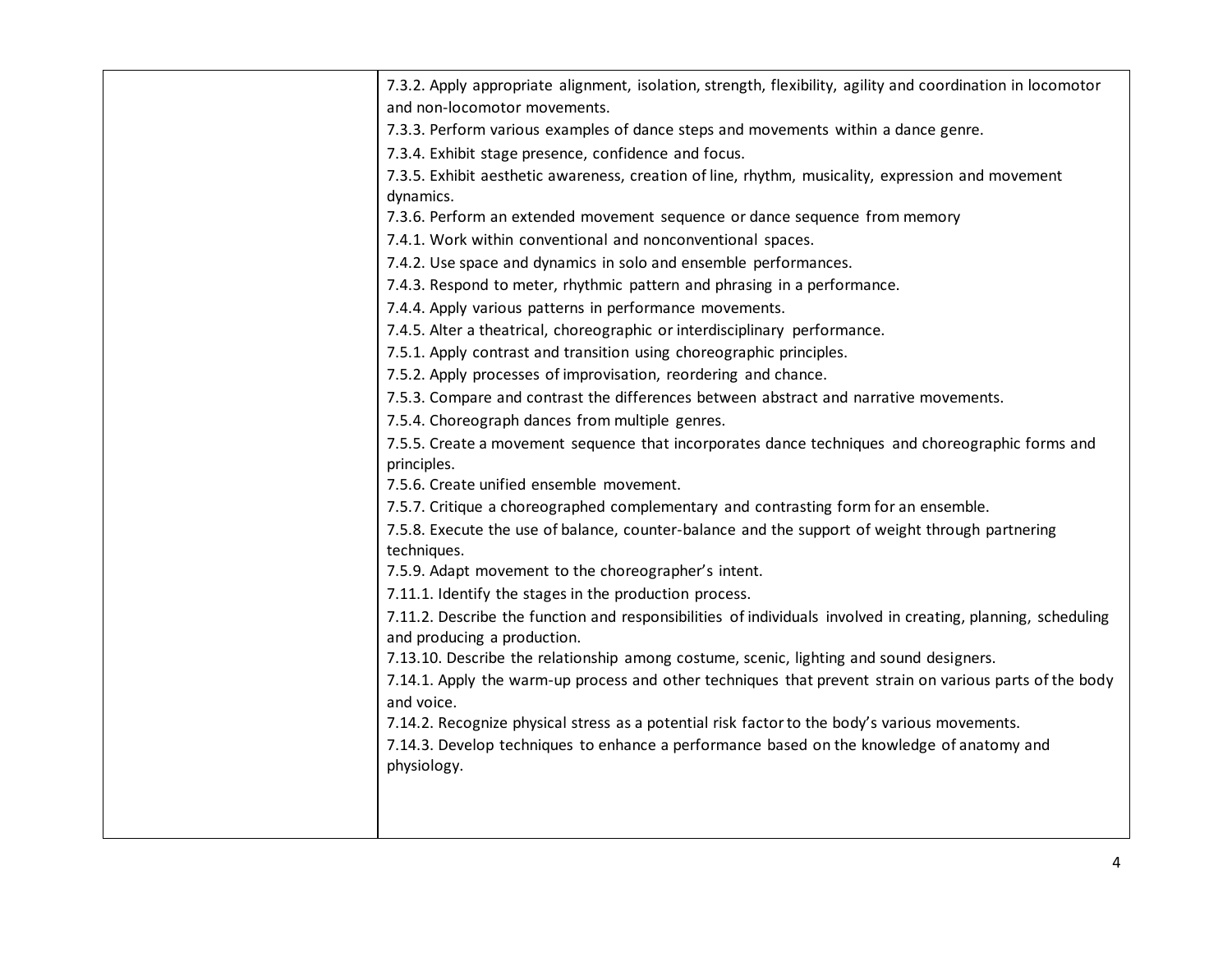| 7.3.2. Apply appropriate alignment, isolation, strength, flexibility, agility and coordination in locomotor                                 |
|---------------------------------------------------------------------------------------------------------------------------------------------|
| and non-locomotor movements.                                                                                                                |
| 7.3.3. Perform various examples of dance steps and movements within a dance genre.                                                          |
| 7.3.4. Exhibit stage presence, confidence and focus.                                                                                        |
| 7.3.5. Exhibit aesthetic awareness, creation of line, rhythm, musicality, expression and movement                                           |
| dynamics.                                                                                                                                   |
| 7.3.6. Perform an extended movement sequence or dance sequence from memory                                                                  |
| 7.4.1. Work within conventional and nonconventional spaces.                                                                                 |
| 7.4.2. Use space and dynamics in solo and ensemble performances.                                                                            |
| 7.4.3. Respond to meter, rhythmic pattern and phrasing in a performance.                                                                    |
| 7.4.4. Apply various patterns in performance movements.                                                                                     |
| 7.4.5. Alter a theatrical, choreographic or interdisciplinary performance.                                                                  |
| 7.5.1. Apply contrast and transition using choreographic principles.                                                                        |
| 7.5.2. Apply processes of improvisation, reordering and chance.                                                                             |
| 7.5.3. Compare and contrast the differences between abstract and narrative movements.                                                       |
| 7.5.4. Choreograph dances from multiple genres.                                                                                             |
| 7.5.5. Create a movement sequence that incorporates dance techniques and choreographic forms and                                            |
| principles.                                                                                                                                 |
| 7.5.6. Create unified ensemble movement.                                                                                                    |
| 7.5.7. Critique a choreographed complementary and contrasting form for an ensemble.                                                         |
| 7.5.8. Execute the use of balance, counter-balance and the support of weight through partnering                                             |
| techniques.                                                                                                                                 |
| 7.5.9. Adapt movement to the choreographer's intent.                                                                                        |
| 7.11.1. Identify the stages in the production process.                                                                                      |
| 7.11.2. Describe the function and responsibilities of individuals involved in creating, planning, scheduling<br>and producing a production. |
| 7.13.10. Describe the relationship among costume, scenic, lighting and sound designers.                                                     |
| 7.14.1. Apply the warm-up process and other techniques that prevent strain on various parts of the body<br>and voice.                       |
| 7.14.2. Recognize physical stress as a potential risk factor to the body's various movements.                                               |
|                                                                                                                                             |
| 7.14.3. Develop techniques to enhance a performance based on the knowledge of anatomy and<br>physiology.                                    |
|                                                                                                                                             |
|                                                                                                                                             |
|                                                                                                                                             |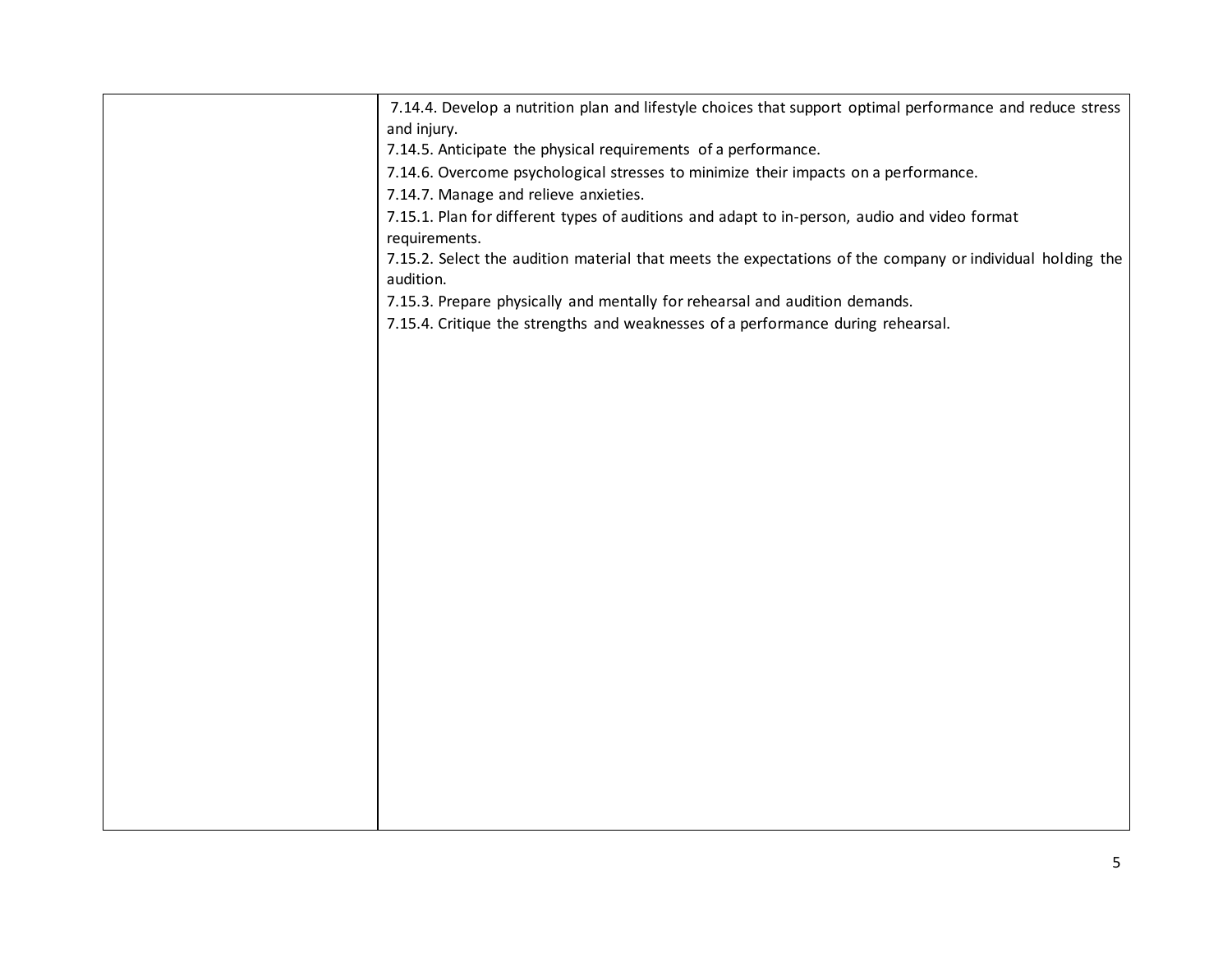| 7.14.4. Develop a nutrition plan and lifestyle choices that support optimal performance and reduce stress<br>and injury. |
|--------------------------------------------------------------------------------------------------------------------------|
| 7.14.5. Anticipate the physical requirements of a performance.                                                           |
| 7.14.6. Overcome psychological stresses to minimize their impacts on a performance.                                      |
| 7.14.7. Manage and relieve anxieties.                                                                                    |
| 7.15.1. Plan for different types of auditions and adapt to in-person, audio and video format<br>requirements.            |
| 7.15.2. Select the audition material that meets the expectations of the company or individual holding the<br>audition.   |
| 7.15.3. Prepare physically and mentally for rehearsal and audition demands.                                              |
| 7.15.4. Critique the strengths and weaknesses of a performance during rehearsal.                                         |
|                                                                                                                          |
|                                                                                                                          |
|                                                                                                                          |
|                                                                                                                          |
|                                                                                                                          |
|                                                                                                                          |
|                                                                                                                          |
|                                                                                                                          |
|                                                                                                                          |
|                                                                                                                          |
|                                                                                                                          |
|                                                                                                                          |
|                                                                                                                          |
|                                                                                                                          |
|                                                                                                                          |
|                                                                                                                          |
|                                                                                                                          |
|                                                                                                                          |
|                                                                                                                          |
|                                                                                                                          |
|                                                                                                                          |
|                                                                                                                          |
|                                                                                                                          |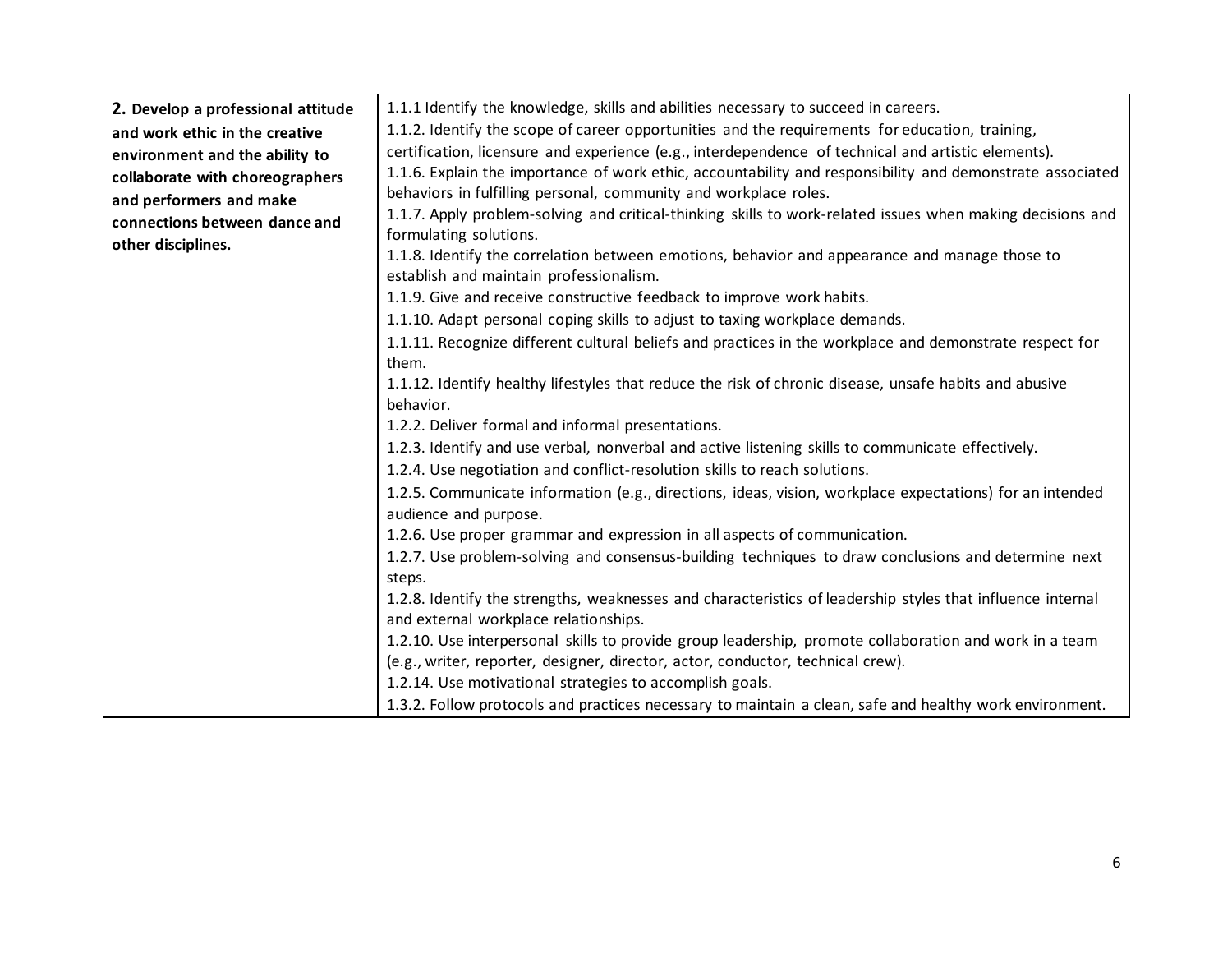| 2. Develop a professional attitude<br>and work ethic in the creative<br>environment and the ability to<br>collaborate with choreographers<br>and performers and make<br>connections between dance and | 1.1.1 Identify the knowledge, skills and abilities necessary to succeed in careers.<br>1.1.2. Identify the scope of career opportunities and the requirements for education, training,<br>certification, licensure and experience (e.g., interdependence of technical and artistic elements).<br>1.1.6. Explain the importance of work ethic, accountability and responsibility and demonstrate associated<br>behaviors in fulfilling personal, community and workplace roles.<br>1.1.7. Apply problem-solving and critical-thinking skills to work-related issues when making decisions and<br>formulating solutions.                                                                                                                                                                                                                                                                                                                                                                               |
|-------------------------------------------------------------------------------------------------------------------------------------------------------------------------------------------------------|------------------------------------------------------------------------------------------------------------------------------------------------------------------------------------------------------------------------------------------------------------------------------------------------------------------------------------------------------------------------------------------------------------------------------------------------------------------------------------------------------------------------------------------------------------------------------------------------------------------------------------------------------------------------------------------------------------------------------------------------------------------------------------------------------------------------------------------------------------------------------------------------------------------------------------------------------------------------------------------------------|
| other disciplines.                                                                                                                                                                                    | 1.1.8. Identify the correlation between emotions, behavior and appearance and manage those to<br>establish and maintain professionalism.<br>1.1.9. Give and receive constructive feedback to improve work habits.<br>1.1.10. Adapt personal coping skills to adjust to taxing workplace demands.<br>1.1.11. Recognize different cultural beliefs and practices in the workplace and demonstrate respect for<br>them.<br>1.1.12. Identify healthy lifestyles that reduce the risk of chronic disease, unsafe habits and abusive<br>behavior.<br>1.2.2. Deliver formal and informal presentations.<br>1.2.3. Identify and use verbal, nonverbal and active listening skills to communicate effectively.<br>1.2.4. Use negotiation and conflict-resolution skills to reach solutions.<br>1.2.5. Communicate information (e.g., directions, ideas, vision, workplace expectations) for an intended<br>audience and purpose.<br>1.2.6. Use proper grammar and expression in all aspects of communication. |
|                                                                                                                                                                                                       | 1.2.7. Use problem-solving and consensus-building techniques to draw conclusions and determine next<br>steps.<br>1.2.8. Identify the strengths, weaknesses and characteristics of leadership styles that influence internal<br>and external workplace relationships.<br>1.2.10. Use interpersonal skills to provide group leadership, promote collaboration and work in a team<br>(e.g., writer, reporter, designer, director, actor, conductor, technical crew).<br>1.2.14. Use motivational strategies to accomplish goals.<br>1.3.2. Follow protocols and practices necessary to maintain a clean, safe and healthy work environment.                                                                                                                                                                                                                                                                                                                                                             |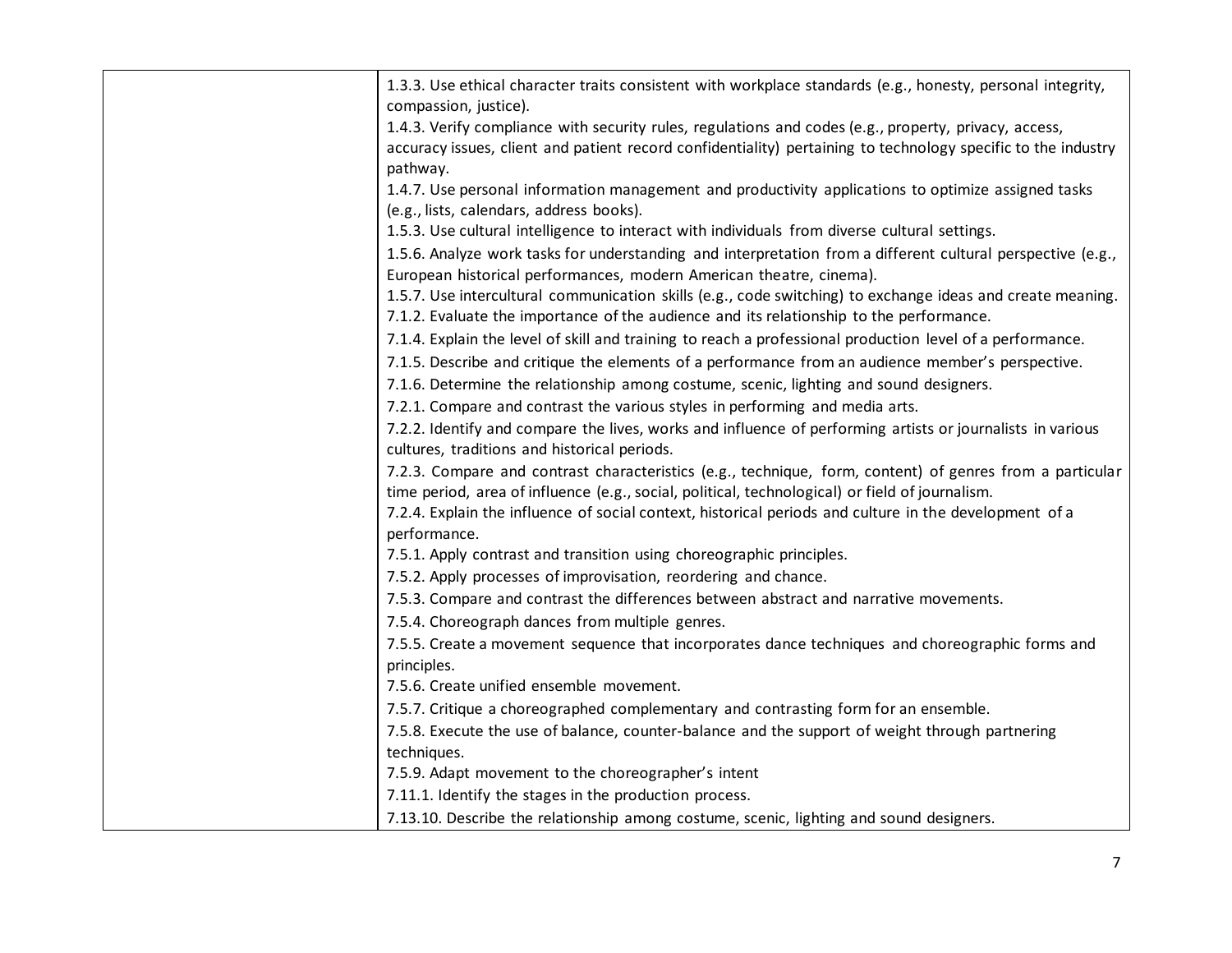| 1.3.3. Use ethical character traits consistent with workplace standards (e.g., honesty, personal integrity,<br>compassion, justice). |
|--------------------------------------------------------------------------------------------------------------------------------------|
| 1.4.3. Verify compliance with security rules, regulations and codes (e.g., property, privacy, access,                                |
| accuracy issues, client and patient record confidentiality) pertaining to technology specific to the industry                        |
| pathway.                                                                                                                             |
| 1.4.7. Use personal information management and productivity applications to optimize assigned tasks                                  |
| (e.g., lists, calendars, address books).                                                                                             |
| 1.5.3. Use cultural intelligence to interact with individuals from diverse cultural settings.                                        |
| 1.5.6. Analyze work tasks for understanding and interpretation from a different cultural perspective (e.g.,                          |
| European historical performances, modern American theatre, cinema).                                                                  |
| 1.5.7. Use intercultural communication skills (e.g., code switching) to exchange ideas and create meaning.                           |
| 7.1.2. Evaluate the importance of the audience and its relationship to the performance.                                              |
| 7.1.4. Explain the level of skill and training to reach a professional production level of a performance.                            |
| 7.1.5. Describe and critique the elements of a performance from an audience member's perspective.                                    |
| 7.1.6. Determine the relationship among costume, scenic, lighting and sound designers.                                               |
| 7.2.1. Compare and contrast the various styles in performing and media arts.                                                         |
| 7.2.2. Identify and compare the lives, works and influence of performing artists or journalists in various                           |
| cultures, traditions and historical periods.                                                                                         |
| 7.2.3. Compare and contrast characteristics (e.g., technique, form, content) of genres from a particular                             |
| time period, area of influence (e.g., social, political, technological) or field of journalism.                                      |
| 7.2.4. Explain the influence of social context, historical periods and culture in the development of a                               |
| performance.                                                                                                                         |
| 7.5.1. Apply contrast and transition using choreographic principles.                                                                 |
| 7.5.2. Apply processes of improvisation, reordering and chance.                                                                      |
| 7.5.3. Compare and contrast the differences between abstract and narrative movements.                                                |
| 7.5.4. Choreograph dances from multiple genres.                                                                                      |
| 7.5.5. Create a movement sequence that incorporates dance techniques and choreographic forms and                                     |
| principles.                                                                                                                          |
| 7.5.6. Create unified ensemble movement.                                                                                             |
| 7.5.7. Critique a choreographed complementary and contrasting form for an ensemble.                                                  |
| 7.5.8. Execute the use of balance, counter-balance and the support of weight through partnering                                      |
| techniques.                                                                                                                          |
| 7.5.9. Adapt movement to the choreographer's intent                                                                                  |
| 7.11.1. Identify the stages in the production process.                                                                               |
| 7.13.10. Describe the relationship among costume, scenic, lighting and sound designers.                                              |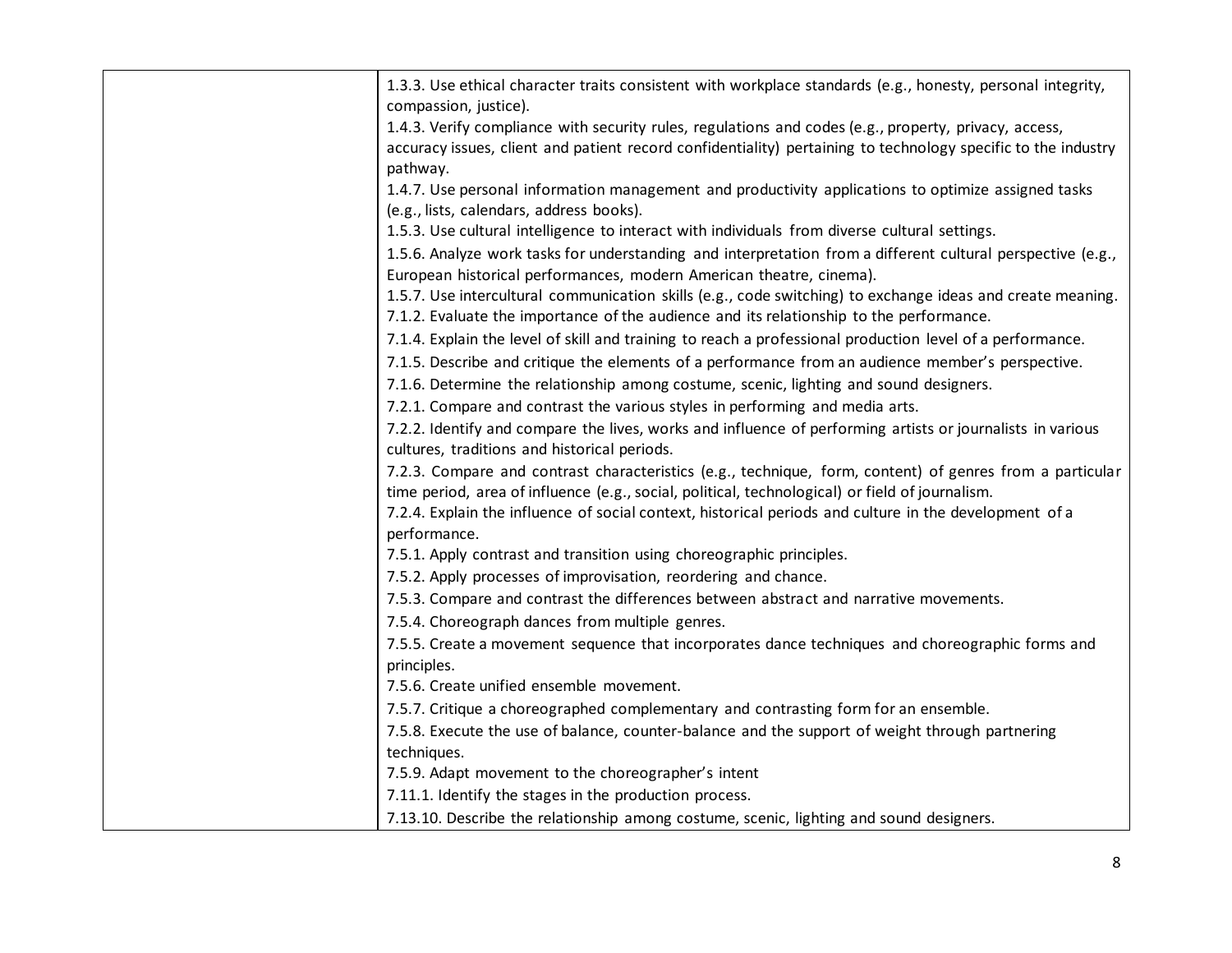| 1.3.3. Use ethical character traits consistent with workplace standards (e.g., honesty, personal integrity,<br>compassion, justice).                                                                        |
|-------------------------------------------------------------------------------------------------------------------------------------------------------------------------------------------------------------|
| 1.4.3. Verify compliance with security rules, regulations and codes (e.g., property, privacy, access,                                                                                                       |
| accuracy issues, client and patient record confidentiality) pertaining to technology specific to the industry                                                                                               |
| pathway.                                                                                                                                                                                                    |
| 1.4.7. Use personal information management and productivity applications to optimize assigned tasks<br>(e.g., lists, calendars, address books).                                                             |
| 1.5.3. Use cultural intelligence to interact with individuals from diverse cultural settings.                                                                                                               |
| 1.5.6. Analyze work tasks for understanding and interpretation from a different cultural perspective (e.g.,                                                                                                 |
| European historical performances, modern American theatre, cinema).                                                                                                                                         |
| 1.5.7. Use intercultural communication skills (e.g., code switching) to exchange ideas and create meaning.<br>7.1.2. Evaluate the importance of the audience and its relationship to the performance.       |
| 7.1.4. Explain the level of skill and training to reach a professional production level of a performance.                                                                                                   |
| 7.1.5. Describe and critique the elements of a performance from an audience member's perspective.                                                                                                           |
| 7.1.6. Determine the relationship among costume, scenic, lighting and sound designers.                                                                                                                      |
| 7.2.1. Compare and contrast the various styles in performing and media arts.                                                                                                                                |
| 7.2.2. Identify and compare the lives, works and influence of performing artists or journalists in various                                                                                                  |
| cultures, traditions and historical periods.                                                                                                                                                                |
| 7.2.3. Compare and contrast characteristics (e.g., technique, form, content) of genres from a particular<br>time period, area of influence (e.g., social, political, technological) or field of journalism. |
| 7.2.4. Explain the influence of social context, historical periods and culture in the development of a<br>performance.                                                                                      |
| 7.5.1. Apply contrast and transition using choreographic principles.                                                                                                                                        |
| 7.5.2. Apply processes of improvisation, reordering and chance.                                                                                                                                             |
| 7.5.3. Compare and contrast the differences between abstract and narrative movements.                                                                                                                       |
| 7.5.4. Choreograph dances from multiple genres.                                                                                                                                                             |
| 7.5.5. Create a movement sequence that incorporates dance techniques and choreographic forms and                                                                                                            |
| principles.                                                                                                                                                                                                 |
| 7.5.6. Create unified ensemble movement.                                                                                                                                                                    |
| 7.5.7. Critique a choreographed complementary and contrasting form for an ensemble.                                                                                                                         |
| 7.5.8. Execute the use of balance, counter-balance and the support of weight through partnering                                                                                                             |
| techniques.                                                                                                                                                                                                 |
| 7.5.9. Adapt movement to the choreographer's intent                                                                                                                                                         |
| 7.11.1. Identify the stages in the production process.                                                                                                                                                      |
| 7.13.10. Describe the relationship among costume, scenic, lighting and sound designers.                                                                                                                     |
|                                                                                                                                                                                                             |